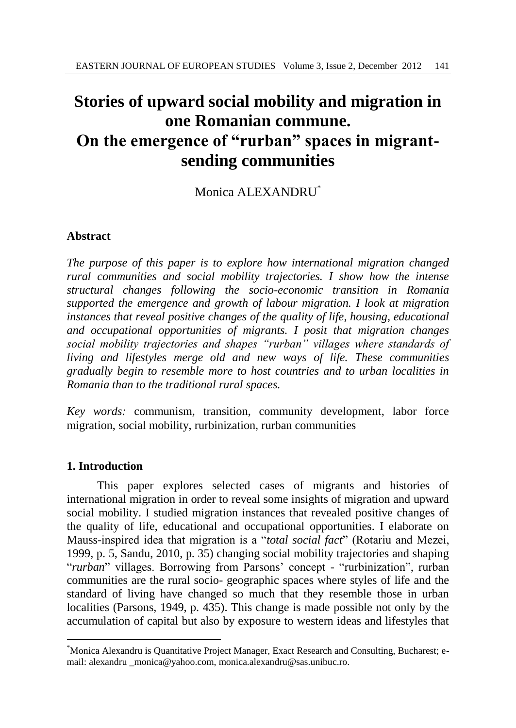# **Stories of upward social mobility and migration in one Romanian commune. On the emergence of "rurban" spaces in migrantsending communities**

# Monica ALEXANDRU\*

# **Abstract**

*The purpose of this paper is to explore how international migration changed rural communities and social mobility trajectories. I show how the intense structural changes following the socio-economic transition in Romania supported the emergence and growth of labour migration. I look at migration instances that reveal positive changes of the quality of life, housing, educational and occupational opportunities of migrants. I posit that migration changes social mobility trajectories and shapes "rurban" villages where standards of living and lifestyles merge old and new ways of life. These communities gradually begin to resemble more to host countries and to urban localities in Romania than to the traditional rural spaces.* 

*Key words:* communism, transition, community development, labor force migration, social mobility, rurbinization, rurban communities

### **1. Introduction**

l

This paper explores selected cases of migrants and histories of international migration in order to reveal some insights of migration and upward social mobility. I studied migration instances that revealed positive changes of the quality of life, educational and occupational opportunities. I elaborate on Mauss-inspired idea that migration is a "*total social fact*" (Rotariu and Mezei, 1999, p. 5, Sandu, 2010, p. 35) changing social mobility trajectories and shaping "*rurban*" villages. Borrowing from Parsons' concept - "rurbinization", rurban communities are the rural socio- geographic spaces where styles of life and the standard of living have changed so much that they resemble those in urban localities (Parsons, 1949, p. 435). This change is made possible not only by the accumulation of capital but also by exposure to western ideas and lifestyles that

<sup>\*</sup>Monica Alexandru is Quantitative Project Manager, Exact Research and Consulting, Bucharest; email: alexandru \_monica@yahoo.com, monica.alexandru@sas.unibuc.ro.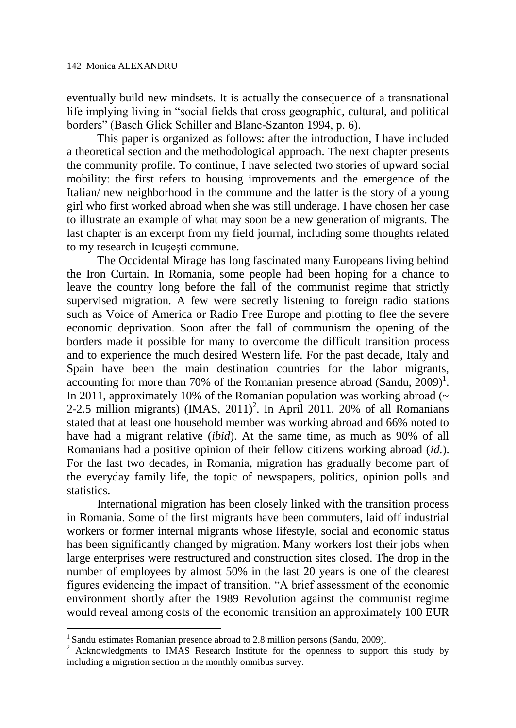eventually build new mindsets. It is actually the consequence of a transnational life implying living in "social fields that cross geographic, cultural, and political borders" (Basch Glick Schiller and Blanc-Szanton 1994, p. 6).

This paper is organized as follows: after the introduction, I have included a theoretical section and the methodological approach. The next chapter presents the community profile. To continue, I have selected two stories of upward social mobility: the first refers to housing improvements and the emergence of the Italian/ new neighborhood in the commune and the latter is the story of a young girl who first worked abroad when she was still underage. I have chosen her case to illustrate an example of what may soon be a new generation of migrants. The last chapter is an excerpt from my field journal, including some thoughts related to my research in Icuşeşti commune.

The Occidental Mirage has long fascinated many Europeans living behind the Iron Curtain. In Romania, some people had been hoping for a chance to leave the country long before the fall of the communist regime that strictly supervised migration. A few were secretly listening to foreign radio stations such as Voice of America or Radio Free Europe and plotting to flee the severe economic deprivation. Soon after the fall of communism the opening of the borders made it possible for many to overcome the difficult transition process and to experience the much desired Western life. For the past decade, Italy and Spain have been the main destination countries for the labor migrants, accounting for more than 70% of the Romanian presence abroad  $(Sandu, 2009)^1$ . In 2011, approximately 10% of the Romanian population was working abroad  $(\sim$ 2-2.5 million migrants) (IMAS,  $2011$ )<sup>2</sup>. In April 2011, 20% of all Romanians stated that at least one household member was working abroad and 66% noted to have had a migrant relative (*ibid*). At the same time, as much as 90% of all Romanians had a positive opinion of their fellow citizens working abroad (*id.*). For the last two decades, in Romania, migration has gradually become part of the everyday family life, the topic of newspapers, politics, opinion polls and statistics.

International migration has been closely linked with the transition process in Romania. Some of the first migrants have been commuters, laid off industrial workers or former internal migrants whose lifestyle, social and economic status has been significantly changed by migration. Many workers lost their jobs when large enterprises were restructured and construction sites closed. The drop in the number of employees by almost 50% in the last 20 years is one of the clearest figures evidencing the impact of transition. "A brief assessment of the economic environment shortly after the 1989 Revolution against the communist regime would reveal among costs of the economic transition an approximately 100 EUR

l

<sup>&</sup>lt;sup>1</sup> Sandu estimates Romanian presence abroad to 2.8 million persons (Sandu, 2009).

<sup>&</sup>lt;sup>2</sup> Acknowledgments to IMAS Research Institute for the openness to support this study by including a migration section in the monthly omnibus survey.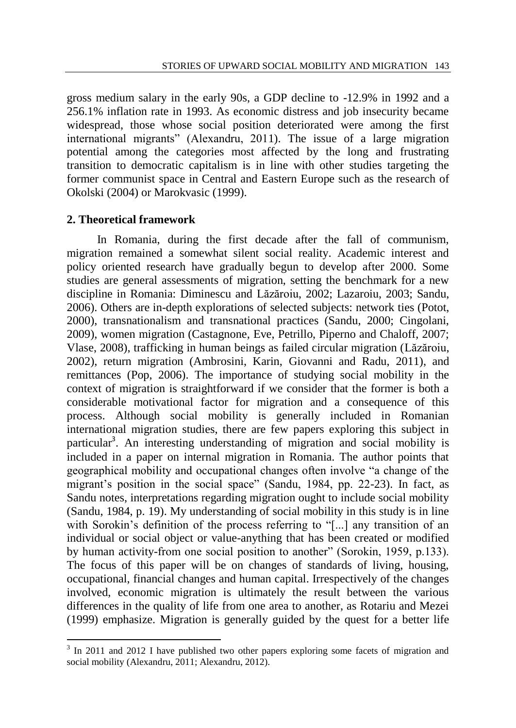gross medium salary in the early 90s, a GDP decline to -12.9% in 1992 and a 256.1% inflation rate in 1993. As economic distress and job insecurity became widespread, those whose social position deteriorated were among the first international migrants" (Alexandru, 2011). The issue of a large migration potential among the categories most affected by the long and frustrating transition to democratic capitalism is in line with other studies targeting the former communist space in Central and Eastern Europe such as the research of Okolski (2004) or Marokvasic (1999).

#### **2. Theoretical framework**

l

In Romania, during the first decade after the fall of communism, migration remained a somewhat silent social reality. Academic interest and policy oriented research have gradually begun to develop after 2000. Some studies are general assessments of migration, setting the benchmark for a new discipline in Romania: Diminescu and Lăzăroiu, 2002; Lazaroiu, 2003; Sandu, 2006). Others are in-depth explorations of selected subjects: network ties (Potot, 2000), transnationalism and transnational practices (Sandu, 2000; Cingolani, 2009), women migration (Castagnone, Eve, Petrillo, Piperno and Chaloff, 2007; Vlase, 2008), trafficking in human beings as failed circular migration (Lăzăroiu, 2002), return migration (Ambrosini, Karin, Giovanni and Radu, 2011), and remittances (Pop, 2006). The importance of studying social mobility in the context of migration is straightforward if we consider that the former is both a considerable motivational factor for migration and a consequence of this process. Although social mobility is generally included in Romanian international migration studies, there are few papers exploring this subject in particular<sup>3</sup>. An interesting understanding of migration and social mobility is included in a paper on internal migration in Romania. The author points that geographical mobility and occupational changes often involve "a change of the migrant's position in the social space" (Sandu, 1984, pp. 22-23). In fact, as Sandu notes, interpretations regarding migration ought to include social mobility (Sandu, 1984, p. 19). My understanding of social mobility in this study is in line with Sorokin's definition of the process referring to "[...] any transition of an individual or social object or value-anything that has been created or modified by human activity-from one social position to another" (Sorokin, 1959, p.133). The focus of this paper will be on changes of standards of living, housing, occupational, financial changes and human capital. Irrespectively of the changes involved, economic migration is ultimately the result between the various differences in the quality of life from one area to another, as Rotariu and Mezei (1999) emphasize. Migration is generally guided by the quest for a better life

<sup>&</sup>lt;sup>3</sup> In 2011 and 2012 I have published two other papers exploring some facets of migration and social mobility (Alexandru, 2011; Alexandru, 2012).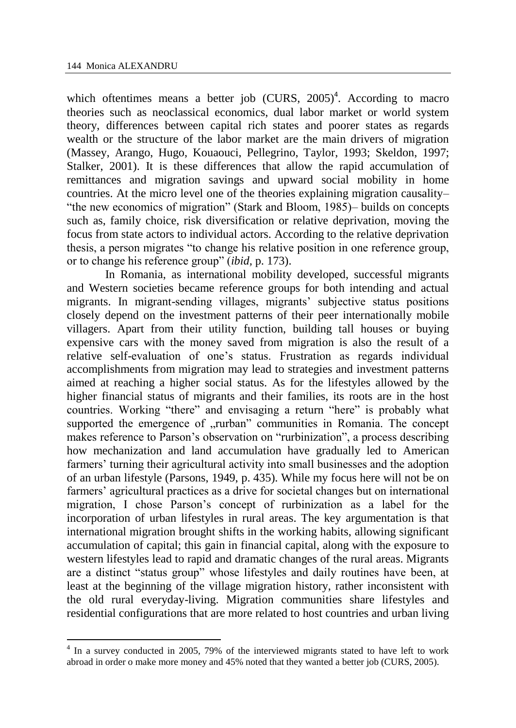l

which oftentimes means a better job  $(CURS, 2005)^4$ . According to macro theories such as neoclassical economics, dual labor market or world system theory, differences between capital rich states and poorer states as regards wealth or the structure of the labor market are the main drivers of migration (Massey, Arango, Hugo, Kouaouci, Pellegrino, Taylor, 1993; Skeldon, 1997; Stalker, 2001). It is these differences that allow the rapid accumulation of remittances and migration savings and upward social mobility in home countries. At the micro level one of the theories explaining migration causality– "the new economics of migration" (Stark and Bloom, 1985)– builds on concepts such as, family choice, risk diversification or relative deprivation, moving the focus from state actors to individual actors. According to the relative deprivation thesis, a person migrates "to change his relative position in one reference group, or to change his reference group" (*ibid,* p. 173).

In Romania, as international mobility developed, successful migrants and Western societies became reference groups for both intending and actual migrants. In migrant-sending villages, migrants' subjective status positions closely depend on the investment patterns of their peer internationally mobile villagers. Apart from their utility function, building tall houses or buying expensive cars with the money saved from migration is also the result of a relative self-evaluation of one's status. Frustration as regards individual accomplishments from migration may lead to strategies and investment patterns aimed at reaching a higher social status. As for the lifestyles allowed by the higher financial status of migrants and their families, its roots are in the host countries. Working "there" and envisaging a return "here" is probably what supported the emergence of "rurban" communities in Romania. The concept makes reference to Parson's observation on "rurbinization", a process describing how mechanization and land accumulation have gradually led to American farmers' turning their agricultural activity into small businesses and the adoption of an urban lifestyle (Parsons, 1949, p. 435). While my focus here will not be on farmers' agricultural practices as a drive for societal changes but on international migration, I chose Parson's concept of rurbinization as a label for the incorporation of urban lifestyles in rural areas. The key argumentation is that international migration brought shifts in the working habits, allowing significant accumulation of capital; this gain in financial capital, along with the exposure to western lifestyles lead to rapid and dramatic changes of the rural areas. Migrants are a distinct "status group" whose lifestyles and daily routines have been, at least at the beginning of the village migration history, rather inconsistent with the old rural everyday-living. Migration communities share lifestyles and residential configurations that are more related to host countries and urban living

<sup>&</sup>lt;sup>4</sup> In a survey conducted in 2005, 79% of the interviewed migrants stated to have left to work abroad in order o make more money and 45% noted that they wanted a better job (CURS, 2005).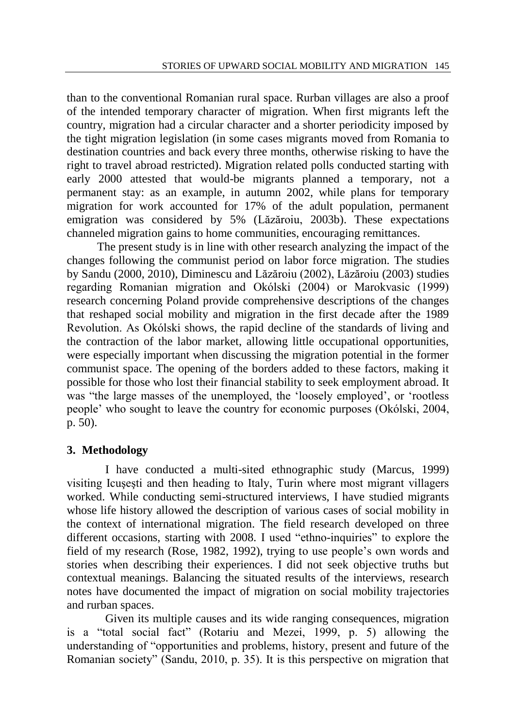than to the conventional Romanian rural space. Rurban villages are also a proof of the intended temporary character of migration. When first migrants left the country, migration had a circular character and a shorter periodicity imposed by the tight migration legislation (in some cases migrants moved from Romania to destination countries and back every three months, otherwise risking to have the right to travel abroad restricted). Migration related polls conducted starting with early 2000 attested that would-be migrants planned a temporary, not a permanent stay: as an example, in autumn 2002, while plans for temporary migration for work accounted for 17% of the adult population, permanent emigration was considered by 5% (Lăzăroiu, 2003b). These expectations channeled migration gains to home communities, encouraging remittances.

The present study is in line with other research analyzing the impact of the changes following the communist period on labor force migration. The studies by Sandu (2000, 2010), Diminescu and Lăzăroiu (2002), Lăzăroiu (2003) studies regarding Romanian migration and Okólski (2004) or Marokvasic (1999) research concerning Poland provide comprehensive descriptions of the changes that reshaped social mobility and migration in the first decade after the 1989 Revolution. As Okólski shows, the rapid decline of the standards of living and the contraction of the labor market, allowing little occupational opportunities, were especially important when discussing the migration potential in the former communist space. The opening of the borders added to these factors, making it possible for those who lost their financial stability to seek employment abroad. It was "the large masses of the unemployed, the 'loosely employed', or 'rootless people' who sought to leave the country for economic purposes (Okólski, 2004, p. 50).

### **3. Methodology**

I have conducted a multi-sited ethnographic study (Marcus, 1999) visiting Icuşeşti and then heading to Italy, Turin where most migrant villagers worked. While conducting semi-structured interviews, I have studied migrants whose life history allowed the description of various cases of social mobility in the context of international migration. The field research developed on three different occasions, starting with 2008. I used "ethno-inquiries" to explore the field of my research (Rose, 1982, 1992), trying to use people's own words and stories when describing their experiences. I did not seek objective truths but contextual meanings. Balancing the situated results of the interviews, research notes have documented the impact of migration on social mobility trajectories and rurban spaces.

Given its multiple causes and its wide ranging consequences, migration is a "total social fact" (Rotariu and Mezei, 1999, p. 5) allowing the understanding of "opportunities and problems, history, present and future of the Romanian society" (Sandu, 2010, p. 35). It is this perspective on migration that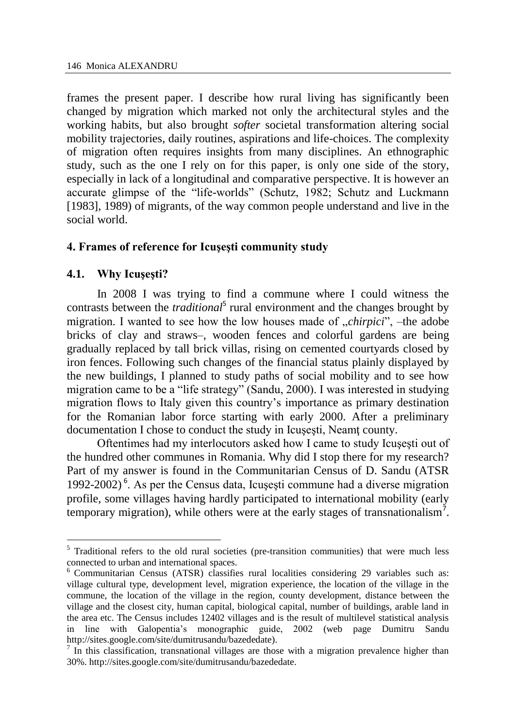frames the present paper. I describe how rural living has significantly been changed by migration which marked not only the architectural styles and the working habits, but also brought *softer* societal transformation altering social mobility trajectories, daily routines, aspirations and life-choices. The complexity of migration often requires insights from many disciplines. An ethnographic study, such as the one I rely on for this paper, is only one side of the story, especially in lack of a longitudinal and comparative perspective. It is however an accurate glimpse of the "life-worlds" (Schutz, 1982; Schutz and Luckmann [1983], 1989) of migrants, of the way common people understand and live in the social world.

### **4. Frames of reference for Icuşeşti community study**

### **4.1. Why Icuşeşti?**

 $\overline{a}$ 

In 2008 I was trying to find a commune where I could witness the contrasts between the *traditional*<sup>5</sup> rural environment and the changes brought by migration. I wanted to see how the low houses made of *"chirpici*", –the adobe bricks of clay and straws–, wooden fences and colorful gardens are being gradually replaced by tall brick villas, rising on cemented courtyards closed by iron fences. Following such changes of the financial status plainly displayed by the new buildings, I planned to study paths of social mobility and to see how migration came to be a "life strategy" (Sandu, 2000). I was interested in studying migration flows to Italy given this country's importance as primary destination for the Romanian labor force starting with early 2000. After a preliminary documentation I chose to conduct the study in Icuşeşti, Neamţ county.

Oftentimes had my interlocutors asked how I came to study Icuşeşti out of the hundred other communes in Romania. Why did I stop there for my research? Part of my answer is found in the Communitarian Census of D. Sandu (ATSR 1992-2002)<sup>6</sup>. As per the Census data, Icușești commune had a diverse migration profile, some villages having hardly participated to international mobility (early temporary migration), while others were at the early stages of transnationalism<sup>7</sup>.

<sup>&</sup>lt;sup>5</sup> Traditional refers to the old rural societies (pre-transition communities) that were much less connected to urban and international spaces.

<sup>6</sup> Communitarian Census (ATSR) classifies rural localities considering 29 variables such as: village cultural type, development level, migration experience, the location of the village in the commune, the location of the village in the region, county development, distance between the village and the closest city, human capital, biological capital, number of buildings, arable land in the area etc. The Census includes 12402 villages and is the result of multilevel statistical analysis in line with Galopentia's monographic guide, 2002 (web page Dumitru Sandu [http://sites.google.com/site/dumitrusandu/bazededate\)](http://sites.google.com/site/dumitrusandu/bazededate).

 $\frac{7}{1}$  In this classification, transnational villages are those with a migration prevalence higher than 30%[. http://sites.google.com/site/dumitrusandu/bazededate.](http://sites.google.com/site/dumitrusandu/bazededate)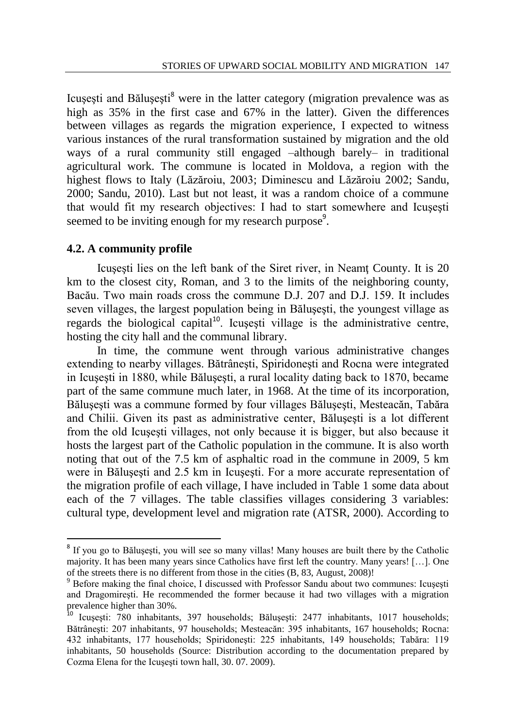Icusesti and Bălusesti<sup>8</sup> were in the latter category (migration prevalence was as high as 35% in the first case and 67% in the latter). Given the differences between villages as regards the migration experience, I expected to witness various instances of the rural transformation sustained by migration and the old ways of a rural community still engaged –although barely– in traditional agricultural work. The commune is located in Moldova, a region with the highest flows to Italy (Lăzăroiu, 2003; Diminescu and Lăzăroiu 2002; Sandu, 2000; Sandu, 2010). Last but not least, it was a random choice of a commune that would fit my research objectives: I had to start somewhere and Icusesti seemed to be inviting enough for my research purpose<sup>9</sup>.

#### **4.2. A community profile**

l

Icuşeşti lies on the left bank of the Siret river, in Neamţ County. It is 20 km to the closest city, Roman, and 3 to the limits of the neighboring county, Bacău. Two main roads cross the commune D.J. 207 and D.J. 159. It includes seven villages, the largest population being in Băluşeşti, the youngest village as regards the biological capital<sup>10</sup>. Icusesti village is the administrative centre, hosting the city hall and the communal library.

In time, the commune went through various administrative changes extending to nearby villages. Bătrâneşti, Spiridoneşti and Rocna were integrated in Icuşeşti in 1880, while Băluşeşti, a rural locality dating back to 1870, became part of the same commune much later, in 1968. At the time of its incorporation, Băluşeşti was a commune formed by four villages Băluşeşti, Mesteacăn, Tabăra and Chilii. Given its past as administrative center, Băluşeşti is a lot different from the old Icuşeşti villages, not only because it is bigger, but also because it hosts the largest part of the Catholic population in the commune. It is also worth noting that out of the 7.5 km of asphaltic road in the commune in 2009, 5 km were in Băluşeşti and 2.5 km in Icuşeşti. For a more accurate representation of the migration profile of each village, I have included in Table 1 some data about each of the 7 villages. The table classifies villages considering 3 variables: cultural type, development level and migration rate (ATSR, 2000). According to

<sup>&</sup>lt;sup>8</sup> If you go to Bălușești, you will see so many villas! Many houses are built there by the Catholic majority. It has been many years since Catholics have first left the country. Many years! […]. One of the streets there is no different from those in the cities (B, 83, August, 2008)!

<sup>9</sup> Before making the final choice, I discussed with Professor Sandu about two communes: Icuşeşti and Dragomireşti. He recommended the former because it had two villages with a migration prevalence higher than 30%.<br><sup>10</sup> Icusesting 700

<sup>10</sup> Icuşeşti: 780 inhabitants, 397 households; Băluşeşti: 2477 inhabitants, 1017 households; Bătrâneşti: 207 inhabitants, 97 households; Mesteacăn: 395 inhabitants, 167 households; Rocna: 432 inhabitants, 177 households; Spiridoneşti: 225 inhabitants, 149 households; Tabăra: 119 inhabitants, 50 households (Source: Distribution according to the documentation prepared by Cozma Elena for the Icuşeşti town hall, 30. 07. 2009).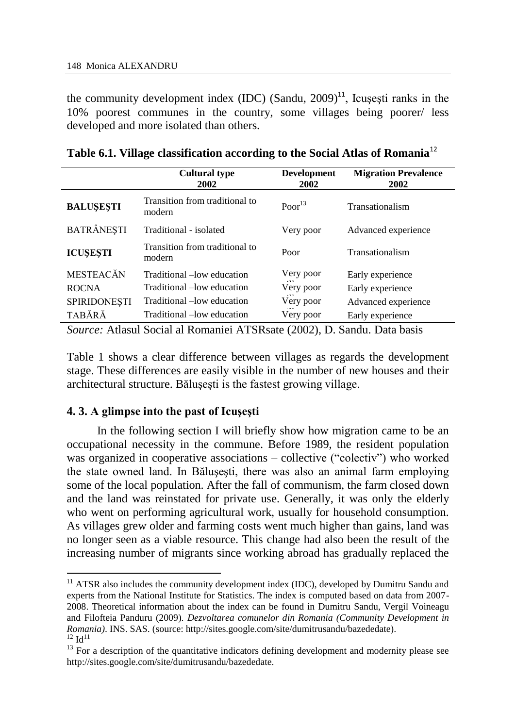the community development index (IDC) (Sandu,  $2009$ )<sup>11</sup>, Icusesti ranks in the 10% poorest communes in the country, some villages being poorer/ less developed and more isolated than others.

|                                                                                                                                                                                                                                                                                                                                   | <b>Cultural type</b><br>2002             | <b>Development</b><br>2002 | <b>Migration Prevalence</b><br>2002 |  |  |
|-----------------------------------------------------------------------------------------------------------------------------------------------------------------------------------------------------------------------------------------------------------------------------------------------------------------------------------|------------------------------------------|----------------------------|-------------------------------------|--|--|
| <b>BALUSESTI</b>                                                                                                                                                                                                                                                                                                                  | Transition from traditional to<br>modern | Poor <sup>13</sup>         | Transationalism                     |  |  |
| <b>BATRÂNESTI</b>                                                                                                                                                                                                                                                                                                                 | Traditional - isolated                   | Very poor                  | Advanced experience                 |  |  |
| <b>ICUSESTI</b>                                                                                                                                                                                                                                                                                                                   | Transition from traditional to<br>modern | Poor                       | Transationalism                     |  |  |
| <b>MESTEACĂN</b>                                                                                                                                                                                                                                                                                                                  | Traditional –low education               | Very poor                  | Early experience                    |  |  |
| <b>ROCNA</b>                                                                                                                                                                                                                                                                                                                      | Traditional -low education               | Very poor                  | Early experience                    |  |  |
| <b>SPIRIDONESTI</b>                                                                                                                                                                                                                                                                                                               | Traditional -low education               | Very poor                  | Advanced experience                 |  |  |
| TABĂRĂ                                                                                                                                                                                                                                                                                                                            | Traditional -low education               | Very poor                  | Early experience                    |  |  |
| $\alpha$ . At $\alpha$ and $\alpha$ and $\alpha$ and $\alpha$ and $\alpha$ and $\alpha$ and $\alpha$ and $\alpha$ and $\alpha$ and $\alpha$ and $\alpha$ and $\alpha$ and $\alpha$ and $\alpha$ and $\alpha$ and $\alpha$ and $\alpha$ and $\alpha$ and $\alpha$ and $\alpha$ and $\alpha$ and $\alpha$ and $\alpha$ and $\alpha$ |                                          |                            |                                     |  |  |

|  |  | Table 6.1. Village classification according to the Social Atlas of Romania <sup>12</sup> |  |  |
|--|--|------------------------------------------------------------------------------------------|--|--|
|--|--|------------------------------------------------------------------------------------------|--|--|

Source: Atlasul Social al Romaniei ATSRsate (2002), D. Sandu. Data basis

Table 1 shows a clear difference between villages as regards the development stage. These differences are easily visible in the number of new houses and their architectural structure. Băluşeşti is the fastest growing village.

### **4. 3. A glimpse into the past of Icuşeşti**

 $\overline{a}$ 

In the following section I will briefly show how migration came to be an occupational necessity in the commune. Before 1989, the resident population was organized in cooperative associations – collective ("colectiv") who worked the state owned land. In Băluşeşti, there was also an animal farm employing some of the local population. After the fall of communism, the farm closed down and the land was reinstated for private use. Generally, it was only the elderly who went on performing agricultural work, usually for household consumption. As villages grew older and farming costs went much higher than gains, land was no longer seen as a viable resource. This change had also been the result of the increasing number of migrants since working abroad has gradually replaced the

<sup>&</sup>lt;sup>11</sup> ATSR also includes the community development index (IDC), developed by Dumitru Sandu and experts from the National Institute for Statistics. The index is computed based on data from 2007- 2008. Theoretical information about the index can be found in Dumitru Sandu, Vergil Voineagu and Filofteia Panduru (2009). *Dezvoltarea comunelor din Romania (Community Development in Romania)*. INS. SAS. (source: http://sites.google.com/site/dumitrusandu/bazededate).  $12 \text{ Id}^{11}$ 

<sup>&</sup>lt;sup>13</sup> For a description of the quantitative indicators defining development and modernity please see http://sites.google.com/site/dumitrusandu/bazededate.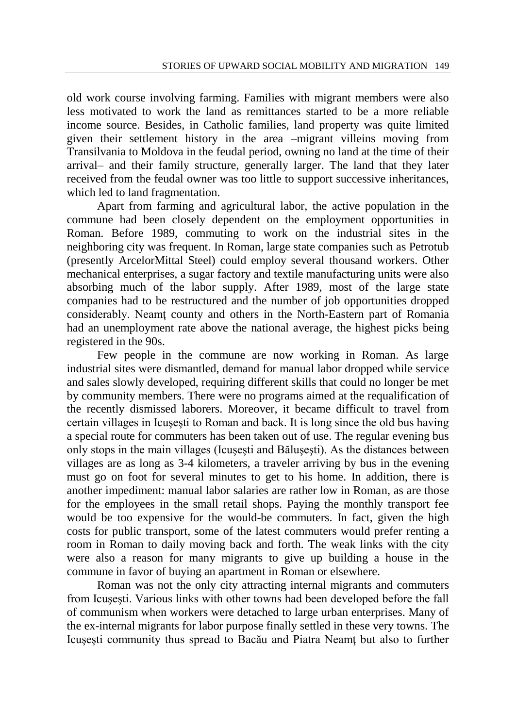old work course involving farming. Families with migrant members were also less motivated to work the land as remittances started to be a more reliable income source. Besides, in Catholic families, land property was quite limited given their settlement history in the area –migrant villeins moving from Transilvania to Moldova in the feudal period, owning no land at the time of their arrival– and their family structure, generally larger. The land that they later received from the feudal owner was too little to support successive inheritances, which led to land fragmentation.

Apart from farming and agricultural labor, the active population in the commune had been closely dependent on the employment opportunities in Roman. Before 1989, commuting to work on the industrial sites in the neighboring city was frequent. In Roman, large state companies such as Petrotub (presently ArcelorMittal Steel) could employ several thousand workers. Other mechanical enterprises, a sugar factory and textile manufacturing units were also absorbing much of the labor supply. After 1989, most of the large state companies had to be restructured and the number of job opportunities dropped considerably. Neamt county and others in the North-Eastern part of Romania had an unemployment rate above the national average, the highest picks being registered in the 90s.

Few people in the commune are now working in Roman. As large industrial sites were dismantled, demand for manual labor dropped while service and sales slowly developed, requiring different skills that could no longer be met by community members. There were no programs aimed at the requalification of the recently dismissed laborers. Moreover, it became difficult to travel from certain villages in Icuşeşti to Roman and back. It is long since the old bus having a special route for commuters has been taken out of use. The regular evening bus only stops in the main villages (Icuşeşti and Băluşeşti). As the distances between villages are as long as 3-4 kilometers, a traveler arriving by bus in the evening must go on foot for several minutes to get to his home. In addition, there is another impediment: manual labor salaries are rather low in Roman, as are those for the employees in the small retail shops. Paying the monthly transport fee would be too expensive for the would-be commuters. In fact, given the high costs for public transport, some of the latest commuters would prefer renting a room in Roman to daily moving back and forth. The weak links with the city were also a reason for many migrants to give up building a house in the commune in favor of buying an apartment in Roman or elsewhere.

Roman was not the only city attracting internal migrants and commuters from Icuşeşti. Various links with other towns had been developed before the fall of communism when workers were detached to large urban enterprises. Many of the ex-internal migrants for labor purpose finally settled in these very towns. The Icuşeşti community thus spread to Bacău and Piatra Neamţ but also to further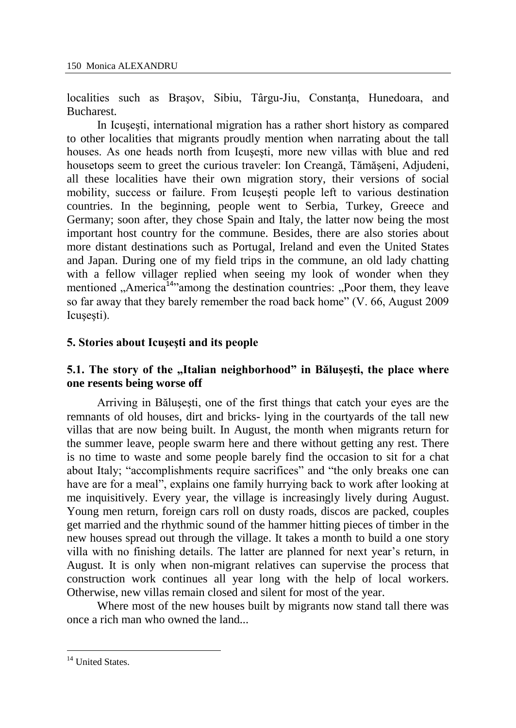localities such as Brasov, Sibiu, Târgu-Jiu, Constanta, Hunedoara, and Bucharest.

In Icuşeşti, international migration has a rather short history as compared to other localities that migrants proudly mention when narrating about the tall houses. As one heads north from Icuşeşti, more new villas with blue and red housetops seem to greet the curious traveler: Ion Creangă, Tămăşeni, Adjudeni, all these localities have their own migration story, their versions of social mobility, success or failure. From Icusesti people left to various destination countries. In the beginning, people went to Serbia, Turkey, Greece and Germany; soon after, they chose Spain and Italy, the latter now being the most important host country for the commune. Besides, there are also stories about more distant destinations such as Portugal, Ireland and even the United States and Japan. During one of my field trips in the commune, an old lady chatting with a fellow villager replied when seeing my look of wonder when they mentioned  $\Lambda$ merica<sup>14</sup> among the destination countries:  $\Lambda$ Poor them, they leave so far away that they barely remember the road back home" (V. 66, August 2009 Icusesti).

#### **5. Stories about Icuşeşti and its people**

### **5.1. The story of the "Italian neighborhood" in Băluşeşti, the place where one resents being worse off**

Arriving in Băluşeşti, one of the first things that catch your eyes are the remnants of old houses, dirt and bricks- lying in the courtyards of the tall new villas that are now being built. In August, the month when migrants return for the summer leave, people swarm here and there without getting any rest. There is no time to waste and some people barely find the occasion to sit for a chat about Italy; "accomplishments require sacrifices" and "the only breaks one can have are for a meal", explains one family hurrying back to work after looking at me inquisitively. Every year, the village is increasingly lively during August. Young men return, foreign cars roll on dusty roads, discos are packed, couples get married and the rhythmic sound of the hammer hitting pieces of timber in the new houses spread out through the village. It takes a month to build a one story villa with no finishing details. The latter are planned for next year's return, in August. It is only when non-migrant relatives can supervise the process that construction work continues all year long with the help of local workers. Otherwise, new villas remain closed and silent for most of the year.

Where most of the new houses built by migrants now stand tall there was once a rich man who owned the land...

 $\overline{a}$ 

<sup>&</sup>lt;sup>14</sup> United States.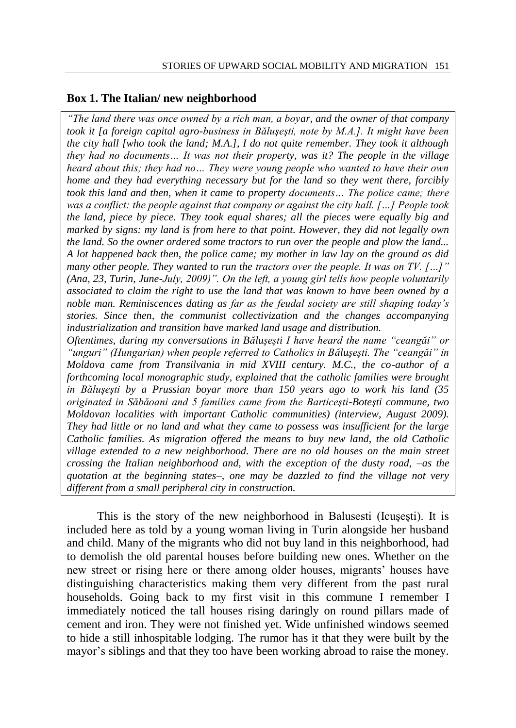#### **Box 1. The Italian/ new neighborhood**

*"The land there was once owned by a rich man, a boyar, and the owner of that company took it [a foreign capital agro-business in Băluşeşti, note by M.A.]. It might have been the city hall [who took the land; M.A.], I do not quite remember. They took it although they had no documents… It was not their property, was it? The people in the village heard about this; they had no… They were young people who wanted to have their own home and they had everything necessary but for the land so they went there, forcibly took this land and then, when it came to property documents… The police came; there was a conflict: the people against that company or against the city hall. […] People took the land, piece by piece. They took equal shares; all the pieces were equally big and marked by signs: my land is from here to that point. However, they did not legally own the land. So the owner ordered some tractors to run over the people and plow the land... A lot happened back then, the police came; my mother in law lay on the ground as did many other people. They wanted to run the tractors over the people. It was on TV. […]" (Ana, 23, Turin, June-July, 2009)". On the left, a young girl tells how people voluntarily associated to claim the right to use the land that was known to have been owned by a noble man. Reminiscences dating as far as the feudal society are still shaping today's stories. Since then, the communist collectivization and the changes accompanying industrialization and transition have marked land usage and distribution.* 

*Oftentimes, during my conversations in Băluşeşti I have heard the name "ceangăi" or "unguri" (Hungarian) when people referred to Catholics in Băluşeşti. The "ceangăi" in Moldova came from Transilvania in mid XVIII century. M.C., the co-author of a forthcoming local monographic study, explained that the catholic families were brought in Băluşeşti by a Prussian boyar more than 150 years ago to work his land (35 originated in Săbăoani and 5 families came from the Barticeşti-Boteşti commune, two Moldovan localities with important Catholic communities) (interview, August 2009). They had little or no land and what they came to possess was insufficient for the large Catholic families. As migration offered the means to buy new land, the old Catholic village extended to a new neighborhood. There are no old houses on the main street crossing the Italian neighborhood and, with the exception of the dusty road, –as the quotation at the beginning states–, one may be dazzled to find the village not very different from a small peripheral city in construction.*

This is the story of the new neighborhood in Balusesti (Icuşeşti). It is included here as told by a young woman living in Turin alongside her husband and child. Many of the migrants who did not buy land in this neighborhood, had to demolish the old parental houses before building new ones. Whether on the new street or rising here or there among older houses, migrants' houses have distinguishing characteristics making them very different from the past rural households. Going back to my first visit in this commune I remember I immediately noticed the tall houses rising daringly on round pillars made of cement and iron. They were not finished yet. Wide unfinished windows seemed to hide a still inhospitable lodging. The rumor has it that they were built by the mayor's siblings and that they too have been working abroad to raise the money.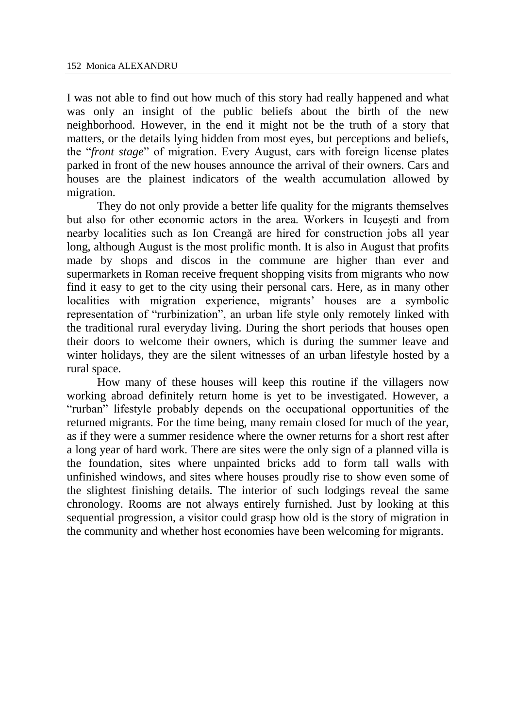I was not able to find out how much of this story had really happened and what was only an insight of the public beliefs about the birth of the new neighborhood. However, in the end it might not be the truth of a story that matters, or the details lying hidden from most eyes, but perceptions and beliefs, the "*front stage*" of migration. Every August, cars with foreign license plates parked in front of the new houses announce the arrival of their owners. Cars and houses are the plainest indicators of the wealth accumulation allowed by migration.

They do not only provide a better life quality for the migrants themselves but also for other economic actors in the area. Workers in Icuşeşti and from nearby localities such as Ion Creangă are hired for construction jobs all year long, although August is the most prolific month. It is also in August that profits made by shops and discos in the commune are higher than ever and supermarkets in Roman receive frequent shopping visits from migrants who now find it easy to get to the city using their personal cars. Here, as in many other localities with migration experience, migrants' houses are a symbolic representation of "rurbinization", an urban life style only remotely linked with the traditional rural everyday living. During the short periods that houses open their doors to welcome their owners, which is during the summer leave and winter holidays, they are the silent witnesses of an urban lifestyle hosted by a rural space.

How many of these houses will keep this routine if the villagers now working abroad definitely return home is yet to be investigated. However, a "rurban" lifestyle probably depends on the occupational opportunities of the returned migrants. For the time being, many remain closed for much of the year, as if they were a summer residence where the owner returns for a short rest after a long year of hard work. There are sites were the only sign of a planned villa is the foundation, sites where unpainted bricks add to form tall walls with unfinished windows, and sites where houses proudly rise to show even some of the slightest finishing details. The interior of such lodgings reveal the same chronology. Rooms are not always entirely furnished. Just by looking at this sequential progression, a visitor could grasp how old is the story of migration in the community and whether host economies have been welcoming for migrants.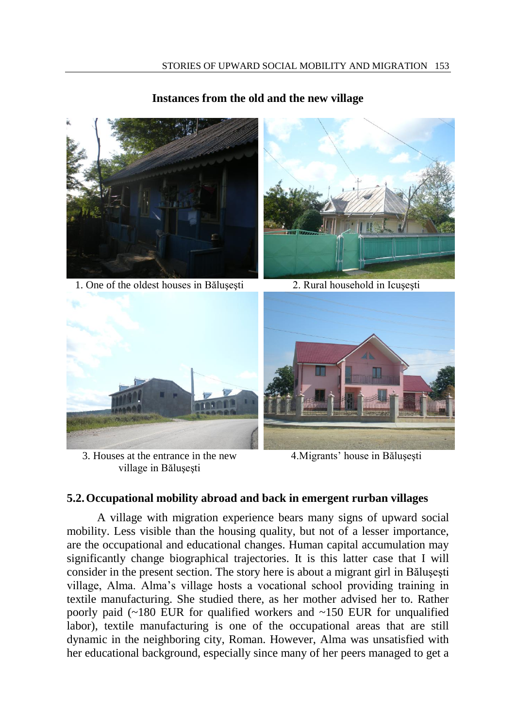#### **Instances from the old and the new village**



1. One of the oldest houses in Bălusesti 2. Rural household in Icusesti





3. Houses at the entrance in the new village in Băluşeşti



4.Migrants' house in Băluşeşti

#### **5.2.Occupational mobility abroad and back in emergent rurban villages**

A village with migration experience bears many signs of upward social mobility. Less visible than the housing quality, but not of a lesser importance, are the occupational and educational changes. Human capital accumulation may significantly change biographical trajectories. It is this latter case that I will consider in the present section. The story here is about a migrant girl in Băluşeşti village, Alma. Alma's village hosts a vocational school providing training in textile manufacturing. She studied there, as her mother advised her to. Rather poorly paid  $(-180)$  EUR for qualified workers and  $-150$  EUR for unqualified labor), textile manufacturing is one of the occupational areas that are still dynamic in the neighboring city, Roman. However, Alma was unsatisfied with her educational background, especially since many of her peers managed to get a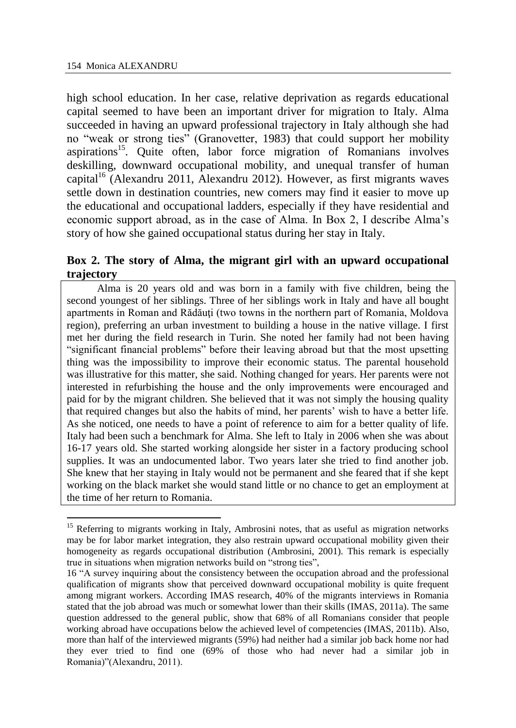$\overline{a}$ 

high school education. In her case, relative deprivation as regards educational capital seemed to have been an important driver for migration to Italy. Alma succeeded in having an upward professional trajectory in Italy although she had no "weak or strong ties" (Granovetter, 1983) that could support her mobility aspirations<sup>15</sup>. Quite often, labor force migration of Romanians involves deskilling, downward occupational mobility, and unequal transfer of human capital<sup>16</sup> (Alexandru 2011, Alexandru 2012). However, as first migrants waves settle down in destination countries, new comers may find it easier to move up the educational and occupational ladders, especially if they have residential and economic support abroad, as in the case of Alma. In Box 2, I describe Alma's story of how she gained occupational status during her stay in Italy.

### **Box 2. The story of Alma, the migrant girl with an upward occupational trajectory**

Alma is 20 years old and was born in a family with five children, being the second youngest of her siblings. Three of her siblings work in Italy and have all bought apartments in Roman and Rădăuți (two towns in the northern part of Romania, Moldova region), preferring an urban investment to building a house in the native village. I first met her during the field research in Turin. She noted her family had not been having "significant financial problems" before their leaving abroad but that the most upsetting thing was the impossibility to improve their economic status. The parental household was illustrative for this matter, she said. Nothing changed for years. Her parents were not interested in refurbishing the house and the only improvements were encouraged and paid for by the migrant children. She believed that it was not simply the housing quality that required changes but also the habits of mind, her parents' wish to have a better life. As she noticed, one needs to have a point of reference to aim for a better quality of life. Italy had been such a benchmark for Alma. She left to Italy in 2006 when she was about 16-17 years old. She started working alongside her sister in a factory producing school supplies. It was an undocumented labor. Two years later she tried to find another job. She knew that her staying in Italy would not be permanent and she feared that if she kept working on the black market she would stand little or no chance to get an employment at the time of her return to Romania.

<sup>15</sup> Referring to migrants working in Italy, Ambrosini notes, that as useful as migration networks may be for labor market integration, they also restrain upward occupational mobility given their homogeneity as regards occupational distribution (Ambrosini, 2001). This remark is especially true in situations when migration networks build on "strong ties",

<sup>16</sup> "A survey inquiring about the consistency between the occupation abroad and the professional qualification of migrants show that perceived downward occupational mobility is quite frequent among migrant workers. According IMAS research, 40% of the migrants interviews in Romania stated that the job abroad was much or somewhat lower than their skills (IMAS, 2011a). The same question addressed to the general public, show that 68% of all Romanians consider that people working abroad have occupations below the achieved level of competencies (IMAS, 2011b). Also, more than half of the interviewed migrants (59%) had neither had a similar job back home nor had they ever tried to find one (69% of those who had never had a similar job in Romania)"(Alexandru, 2011).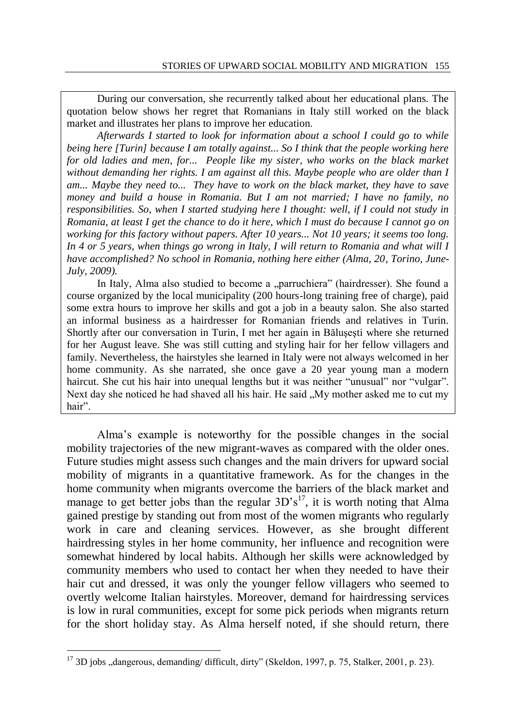During our conversation, she recurrently talked about her educational plans. The quotation below shows her regret that Romanians in Italy still worked on the black market and illustrates her plans to improve her education.

*Afterwards I started to look for information about a school I could go to while being here [Turin] because I am totally against... So I think that the people working here*  for old ladies and men, for... People like my sister, who works on the black market *without demanding her rights. I am against all this. Maybe people who are older than I am... Maybe they need to... They have to work on the black market, they have to save money and build a house in Romania. But I am not married; I have no family, no responsibilities. So, when I started studying here I thought: well, if I could not study in Romania, at least I get the chance to do it here, which I must do because I cannot go on working for this factory without papers. After 10 years... Not 10 years; it seems too long. In 4 or 5 years, when things go wrong in Italy, I will return to Romania and what will I have accomplished? No school in Romania, nothing here either (Alma, 20, Torino, June-July, 2009).*

In Italy, Alma also studied to become a "parruchiera" (hairdresser). She found a course organized by the local municipality (200 hours-long training free of charge), paid some extra hours to improve her skills and got a job in a beauty salon. She also started an informal business as a hairdresser for Romanian friends and relatives in Turin. Shortly after our conversation in Turin, I met her again in Băluşeşti where she returned for her August leave. She was still cutting and styling hair for her fellow villagers and family. Nevertheless, the hairstyles she learned in Italy were not always welcomed in her home community. As she narrated, she once gave a 20 year young man a modern haircut. She cut his hair into unequal lengths but it was neither "unusual" nor "vulgar". Next day she noticed he had shaved all his hair. He said "My mother asked me to cut my hair".

Alma's example is noteworthy for the possible changes in the social mobility trajectories of the new migrant-waves as compared with the older ones. Future studies might assess such changes and the main drivers for upward social mobility of migrants in a quantitative framework. As for the changes in the home community when migrants overcome the barriers of the black market and manage to get better jobs than the regular  $3D's<sup>17</sup>$ , it is worth noting that Alma gained prestige by standing out from most of the women migrants who regularly work in care and cleaning services. However, as she brought different hairdressing styles in her home community, her influence and recognition were somewhat hindered by local habits. Although her skills were acknowledged by community members who used to contact her when they needed to have their hair cut and dressed, it was only the younger fellow villagers who seemed to overtly welcome Italian hairstyles. Moreover, demand for hairdressing services is low in rural communities, except for some pick periods when migrants return for the short holiday stay. As Alma herself noted, if she should return, there

 $\overline{a}$ 

 $17$  3D jobs  $\alpha$  dangerous, demanding/ difficult, dirty" (Skeldon, 1997, p. 75, Stalker, 2001, p. 23).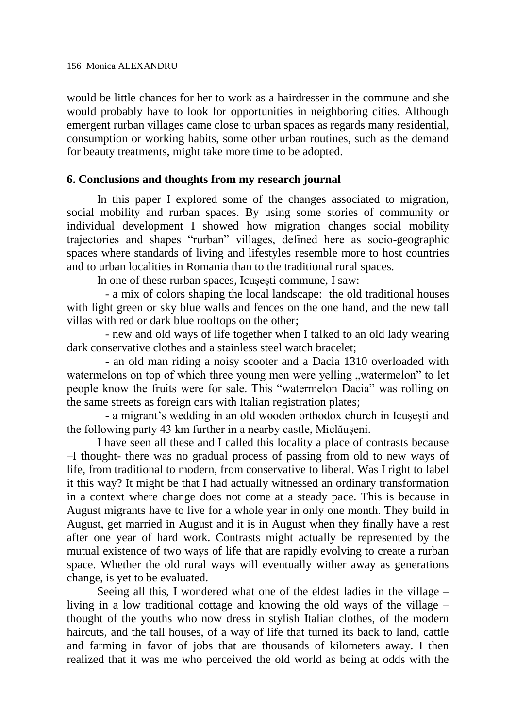would be little chances for her to work as a hairdresser in the commune and she would probably have to look for opportunities in neighboring cities. Although emergent rurban villages came close to urban spaces as regards many residential, consumption or working habits, some other urban routines, such as the demand for beauty treatments, might take more time to be adopted.

#### **6. Conclusions and thoughts from my research journal**

In this paper I explored some of the changes associated to migration, social mobility and rurban spaces. By using some stories of community or individual development I showed how migration changes social mobility trajectories and shapes "rurban" villages, defined here as socio-geographic spaces where standards of living and lifestyles resemble more to host countries and to urban localities in Romania than to the traditional rural spaces.

In one of these rurban spaces, Icuşeşti commune, I saw:

- a mix of colors shaping the local landscape: the old traditional houses with light green or sky blue walls and fences on the one hand, and the new tall villas with red or dark blue rooftops on the other;

- new and old ways of life together when I talked to an old lady wearing dark conservative clothes and a stainless steel watch bracelet;

- an old man riding a noisy scooter and a Dacia 1310 overloaded with watermelons on top of which three young men were yelling "watermelon" to let people know the fruits were for sale. This "watermelon Dacia" was rolling on the same streets as foreign cars with Italian registration plates;

- a migrant's wedding in an old wooden orthodox church in Icuşeşti and the following party 43 km further in a nearby castle, Miclăuşeni.

I have seen all these and I called this locality a place of contrasts because –I thought- there was no gradual process of passing from old to new ways of life, from traditional to modern, from conservative to liberal. Was I right to label it this way? It might be that I had actually witnessed an ordinary transformation in a context where change does not come at a steady pace. This is because in August migrants have to live for a whole year in only one month. They build in August, get married in August and it is in August when they finally have a rest after one year of hard work. Contrasts might actually be represented by the mutual existence of two ways of life that are rapidly evolving to create a rurban space. Whether the old rural ways will eventually wither away as generations change, is yet to be evaluated.

Seeing all this, I wondered what one of the eldest ladies in the village – living in a low traditional cottage and knowing the old ways of the village – thought of the youths who now dress in stylish Italian clothes, of the modern haircuts, and the tall houses, of a way of life that turned its back to land, cattle and farming in favor of jobs that are thousands of kilometers away. I then realized that it was me who perceived the old world as being at odds with the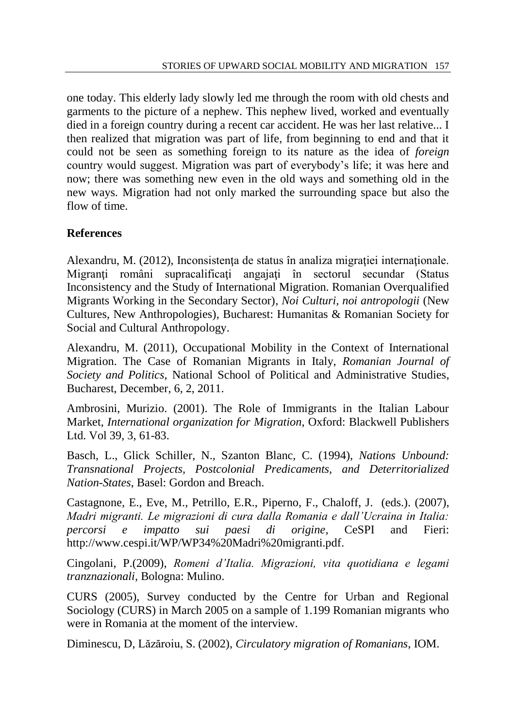one today. This elderly lady slowly led me through the room with old chests and garments to the picture of a nephew. This nephew lived, worked and eventually died in a foreign country during a recent car accident. He was her last relative... I then realized that migration was part of life, from beginning to end and that it could not be seen as something foreign to its nature as the idea of *foreign* country would suggest. Migration was part of everybody's life; it was here and now; there was something new even in the old ways and something old in the new ways. Migration had not only marked the surrounding space but also the flow of time.

# **References**

Alexandru, M. (2012), Inconsistenta de status în analiza migratiei internationale. Migranţi români supracalificaţi angajaţi în sectorul secundar (Status Inconsistency and the Study of International Migration. Romanian Overqualified Migrants Working in the Secondary Sector), *Noi Culturi, noi antropologii* (New Cultures, New Anthropologies), Bucharest: Humanitas & Romanian Society for Social and Cultural Anthropology.

Alexandru, M. (2011), Occupational Mobility in the Context of International Migration. The Case of Romanian Migrants in Italy, *Romanian Journal of Society and Politics*, National School of Political and Administrative Studies, Bucharest, December, 6, 2, 2011.

Ambrosini, Murizio. (2001). The Role of Immigrants in the Italian Labour Market, *International organization for Migration*, Oxford: Blackwell Publishers Ltd. Vol 39, 3, 61-83.

Basch, L., Glick Schiller, N., Szanton Blanc, C. (1994), *Nations Unbound: Transnational Projects, Postcolonial Predicaments, and Deterritorialized Nation-States*, Basel: Gordon and Breach.

Castagnone, E., Eve, M., Petrillo, E.R., Piperno, F., Chaloff, J. (eds.). (2007), *Madri migranti. Le migrazioni di cura dalla Romania e dall'Ucraina in Italia: percorsi e impatto sui paesi di origine,* CeSPI and Fieri: http://www.cespi.it/WP/WP34%20Madri%20migranti.pdf.

Cingolani, P.(2009), *Romeni d'Italia. Migrazioni, vita quotidiana e legami tranznazionali,* Bologna: Mulino.

CURS (2005), Survey conducted by the Centre for Urban and Regional Sociology (CURS) in March 2005 on a sample of 1.199 Romanian migrants who were in Romania at the moment of the interview.

Diminescu, D, Lăzăroiu, S. (2002), *Circulatory migration of Romanians*, IOM.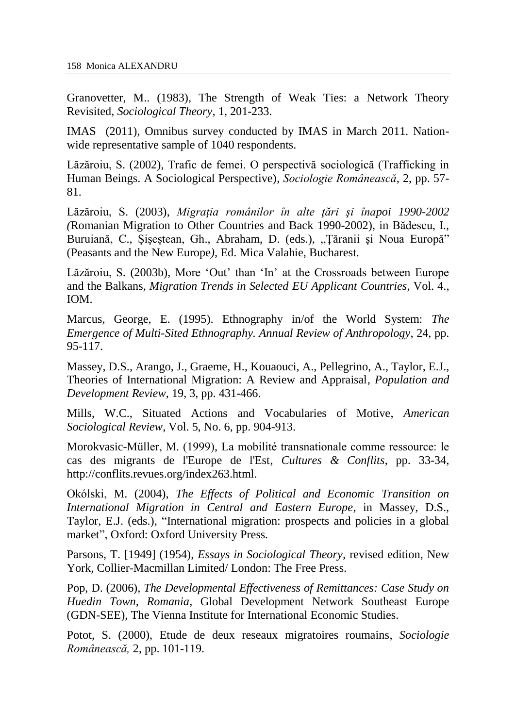Granovetter, M.. (1983), The Strength of Weak Ties: a Network Theory Revisited, *Sociological Theory,* 1, 201-233.

IMAS (2011), Omnibus survey conducted by IMAS in March 2011. Nationwide representative sample of 1040 respondents.

Lăzăroiu, S. (2002), Trafic de femei. O perspectivă sociologică (Trafficking in Human Beings. A Sociological Perspective), *Sociologie Românească*, 2, pp. 57- 81.

Lăzăroiu, S. (2003), *Migraţia românilor în alte ţări şi înapoi 1990-2002 (*Romanian Migration to Other Countries and Back 1990-2002), in Bădescu, [I.,](http://www.google.com/search?tbo=p&tbm=bks&q=inauthor:%22Ilie+B%C4%83descu,+Claudia+Buruian%C4%83,+Gheorghe+%C5%9Ei%C5%9Fe%C5%9Ftean,+Dorel+Abraham%22) Buruiană, C., Siseștean, Gh., Abraham, D. (eds.), "Tăranii și Noua Europă" (Peasants and the New Europe*),* Ed. Mica Valahie, Bucharest.

Lăzăroiu, S. (2003b), More 'Out' than 'In' at the Crossroads between Europe and the Balkans, *Migration Trends in Selected EU Applicant Countries*, Vol. 4., IOM.

Marcus, George, E. (1995). Ethnography in/of the World System: *The Emergence of Multi-Sited Ethnography. Annual Review of Anthropology*, 24, pp. 95-117.

Massey, D.S., Arango, J., Graeme, H., Kouaouci, A., Pellegrino, A., Taylor, E.J., Theories of International Migration: A Review and Appraisal, *Population and Development Review*, 19, 3, pp. 431-466.

Mills, W.C., Situated Actions and Vocabularies of Motive, *American Sociological Review*, Vol. 5, No. 6, pp. 904-913.

Morokvasic-Müller, M. (1999), La mobilité transnationale comme ressource: le cas des migrants de l'Europe de l'Est, *Cultures & Conflits*, pp. 33-34, [http://conflits.revues.org/index263.html.](http://conflits.revues.org/index263.html)

Okólski, M. (2004), *The Effects of Political and Economic Transition on International Migration in Central and Eastern Europe*, in Massey, D.S., Taylor, E.J. (eds.), "International migration: prospects and policies in a global market", Oxford: Oxford University Press*.*

Parsons, T. [1949] (1954), *Essays in Sociological Theory,* revised edition, New York, Collier-Macmillan Limited/ London: The Free Press.

Pop, D. (2006), *The Developmental Effectiveness of Remittances: Case Study on Huedin Town, Romania*, Global Development Network Southeast Europe (GDN-SEE), The Vienna Institute for International Economic Studies.

Potot, S. (2000), Etude de deux reseaux migratoires roumains, *Sociologie Românească,* 2, pp. 101-119.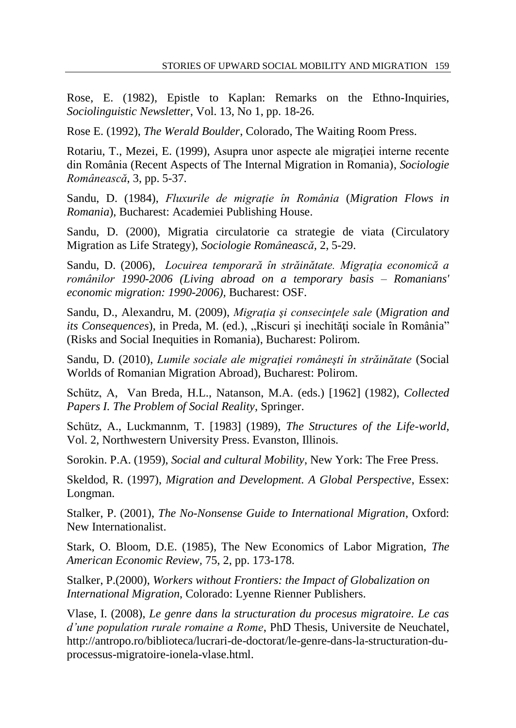Rose, E. (1982), Epistle to Kaplan: Remarks on the Ethno-Inquiries, *Sociolinguistic Newsletter*, Vol. 13, No 1, pp. 18-26.

Rose E. (1992), *The Werald Boulder*, Colorado, The Waiting Room Press.

Rotariu, T., Mezei, E. (1999), Asupra unor aspecte ale migratiei interne recente din România (Recent Aspects of The Internal Migration in Romania), *Sociologie Românească*, 3, pp. 5-37.

Sandu, D. (1984), *Fluxurile de migraţie în România* (*Migration Flows in Romania*), Bucharest: Academiei Publishing House.

Sandu, D. (2000), Migratia circulatorie ca strategie de viata (Circulatory Migration as Life Strategy), *Sociologie Românească,* 2, 5-29.

Sandu, D. (2006), *Locuirea temporară în străinătate. Migraţia economică a românilor 1990-2006 (Living abroad on a temporary basis – Romanians' economic migration: 1990-2006),* Bucharest: OSF.

Sandu, D., Alexandru, M. (2009), *Migraţia şi consecinţele sale* (*Migration and its Consequences*), in Preda, M. (ed.), "Riscuri și inechități sociale în România" (Risks and Social Inequities in Romania), Bucharest: Polirom.

Sandu, D. (2010), *Lumile sociale ale migraţiei româneşti în străinătate* (Social Worlds of Romanian Migration Abroad), Bucharest: Polirom.

Schütz, A, [Van Breda,](http://www.amazon.com/s/ref=ntt_athr_dp_sr_2?_encoding=UTF8&sort=relevancerank&search-alias=books&ie=UTF8&field-author=H.L.%20van%20Breda) H.L., Natanson, M.A. (eds.) [1962] (1982), *Collected Papers I. The Problem of Social Reality*, Springer.

Schütz, A., Luckmannm, T. [1983] (1989), *The Structures of the Life-world*, Vol. 2, Northwestern University Press. Evanston, Illinois.

Sorokin. P.A. (1959), *Social and cultural Mobility*, New York: The Free Press.

Skeldod, R. (1997), *Migration and Development. A Global Perspective*, Essex: Longman.

Stalker, P. (2001), *The No-Nonsense Guide to International Migration*, Oxford: New Internationalist.

Stark, O. Bloom, D.E. (1985), The New Economics of Labor Migration, *The American Economic Review,* 75, 2, pp. 173-178.

Stalker, P.(2000), *Workers without Frontiers: the Impact of Globalization on International Migration*, Colorado: Lyenne Rienner Publishers.

Vlase, I. (2008), *Le genre dans la structuration du procesus migratoire. Le cas d'une population rurale romaine a Rome*, PhD Thesis, Universite de Neuchatel, http://antropo.ro/biblioteca/lucrari-de-doctorat/le-genre-dans-la-structuration-duprocessus-migratoire-ionela-vlase.html.